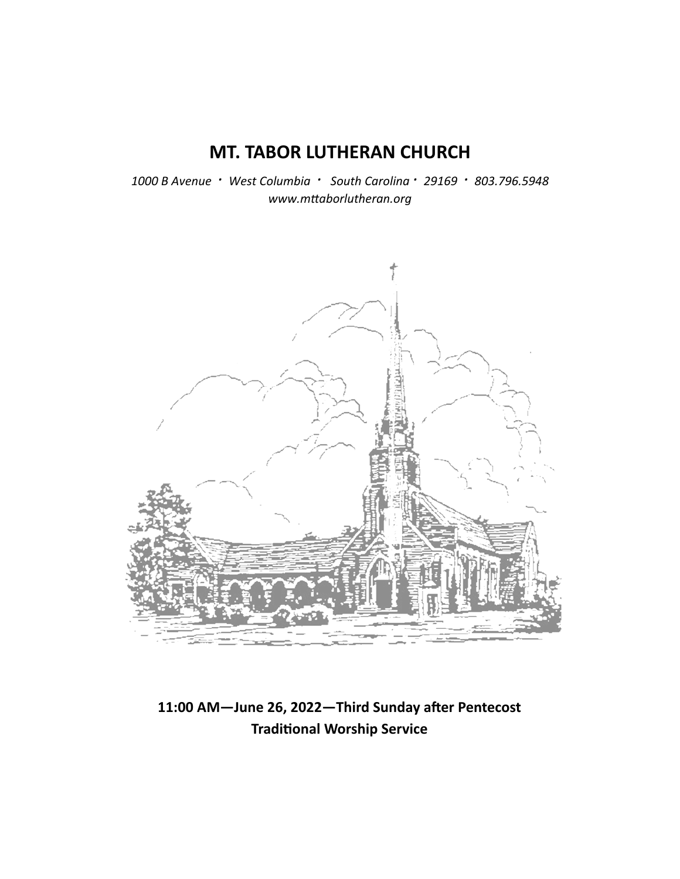# **MT. TABOR LUTHERAN CHURCH**

*1000 B Avenue · West Columbia · South Carolina · 29169 · 803.796.5948 www.mƩaborlutheran.org* 



11:00 AM-June 26, 2022-Third Sunday after Pentecost **TradiƟonal Worship Service**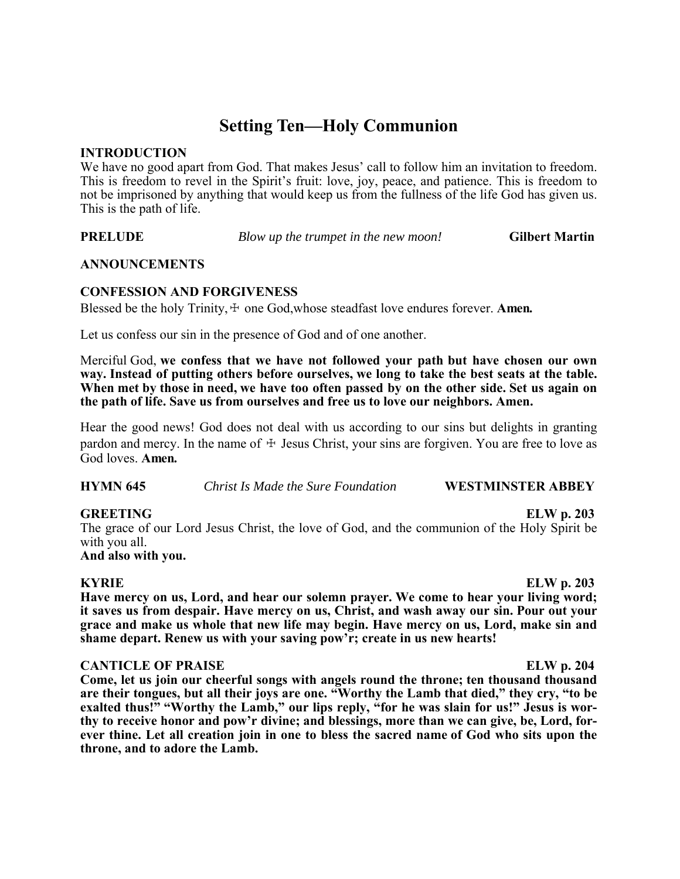# **Setting Ten—Holy Communion**

#### **INTRODUCTION**

We have no good apart from God. That makes Jesus' call to follow him an invitation to freedom. This is freedom to revel in the Spirit's fruit: love, joy, peace, and patience. This is freedom to not be imprisoned by anything that would keep us from the fullness of the life God has given us. This is the path of life.

**PRELUDE** *Blow up the trumpet in the new moon!* **Gilbert Martin** 

#### **ANNOUNCEMENTS**

## **CONFESSION AND FORGIVENESS**

Blessed be the holy Trinity,  $\pm$  one God, whose steadfast love endures forever. **Amen.** 

Let us confess our sin in the presence of God and of one another.

Merciful God, **we confess that we have not followed your path but have chosen our own way. Instead of putting others before ourselves, we long to take the best seats at the table. When met by those in need, we have too often passed by on the other side. Set us again on the path of life. Save us from ourselves and free us to love our neighbors. Amen.**

Hear the good news! God does not deal with us according to our sins but delights in granting pardon and mercy. In the name of  $\pm$  Jesus Christ, your sins are forgiven. You are free to love as God loves. **Amen.**

**HYMN 645** *Christ Is Made the Sure Foundation* **WESTMINSTER ABBEY** 

## **GREETING ELW p. 203**

The grace of our Lord Jesus Christ, the love of God, and the communion of the Holy Spirit be with you all.

**And also with you.**

**KYRIE ELW p. 203 Have mercy on us, Lord, and hear our solemn prayer. We come to hear your living word; it saves us from despair. Have mercy on us, Christ, and wash away our sin. Pour out your grace and make us whole that new life may begin. Have mercy on us, Lord, make sin and shame depart. Renew us with your saving pow'r; create in us new hearts!**

## **CANTICLE OF PRAISE** ELW p. 204

**Come, let us join our cheerful songs with angels round the throne; ten thousand thousand are their tongues, but all their joys are one. "Worthy the Lamb that died," they cry, "to be exalted thus!" "Worthy the Lamb," our lips reply, "for he was slain for us!" Jesus is worthy to receive honor and pow'r divine; and blessings, more than we can give, be, Lord, forever thine. Let all creation join in one to bless the sacred name of God who sits upon the throne, and to adore the Lamb.**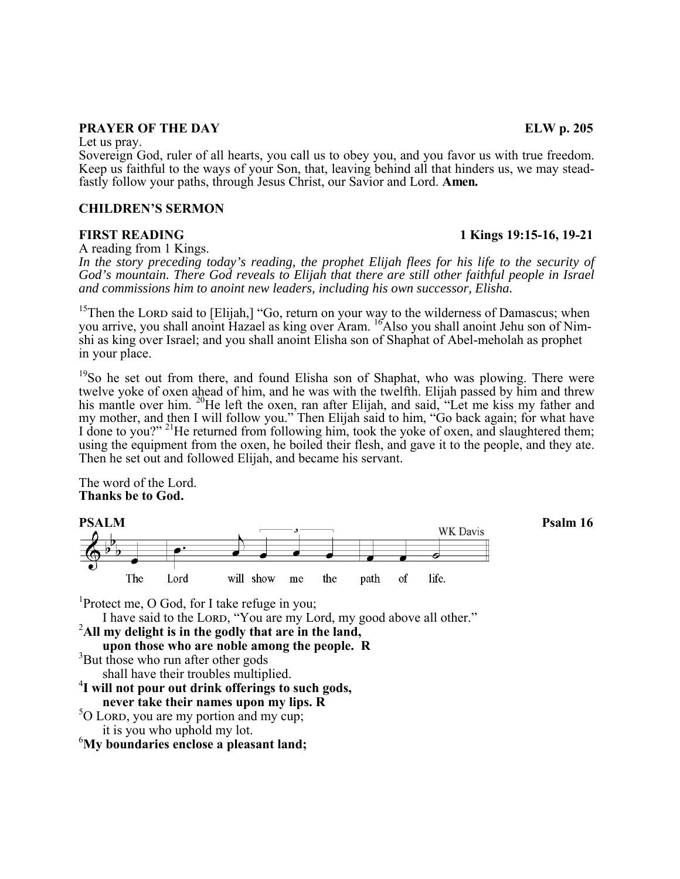## **PRAYER OF THE DAY** ELW p. 205

Let us pray.

Sovereign God, ruler of all hearts, you call us to obey you, and you favor us with true freedom. Keep us faithful to the ways of your Son, that, leaving behind all that hinders us, we may steadfastly follow your paths, through Jesus Christ, our Savior and Lord. **Amen.**

#### **CHILDREN'S SERMON**

**FIRST READING 1 Kings 19:15-16, 19-21** 

A reading from 1 Kings.

*In the story preceding today's reading, the prophet Elijah flees for his life to the security of God's mountain. There God reveals to Elijah that there are still other faithful people in Israel and commissions him to anoint new leaders, including his own successor, Elisha.* 

<sup>15</sup>Then the LORD said to [Elijah,] "Go, return on your way to the wilderness of Damascus; when you arrive, you shall anoint Hazael as king over Aram. <sup>16</sup>Also you shall anoint Jehu son of Nimshi as king over Israel; and you shall anoint Elisha son of Shaphat of Abel-meholah as prophet in your place.

<sup>19</sup>So he set out from there, and found Elisha son of Shaphat, who was plowing. There were twelve yoke of oxen ahead of him, and he was with the twelfth. Elijah passed by him and threw his mantle over him. <sup>20</sup>He left the oxen, ran after Elijah, and said, "Let me kiss my father and my mother, and then I will follow you." Then Elijah said to him, "Go back again; for what have I done to you?" <sup>21</sup>He returned from following him, took the yoke of oxen, and slaughtered them; using the equipment from the oxen, he boiled their flesh, and gave it to the people, and they ate. Then he set out and followed Elijah, and became his servant.

The word of the Lord. **Thanks be to God.**



I have said to the LORD, "You are my Lord, my good above all other."

 it is you who uphold my lot. 6 **My boundaries enclose a pleasant land;**

 ${}^{5}O$  LORD, you are my portion and my cup;

<sup>3</sup>But those who run after other gods

<sup>1</sup>Protect me, O God, for I take refuge in you;

shall have their troubles multiplied.

2 **All my delight is in the godly that are in the land, upon those who are noble among the people. R** <sup>3</sup>

4 **I will not pour out drink offerings to such gods, never take their names upon my lips. R** <sup>5</sup>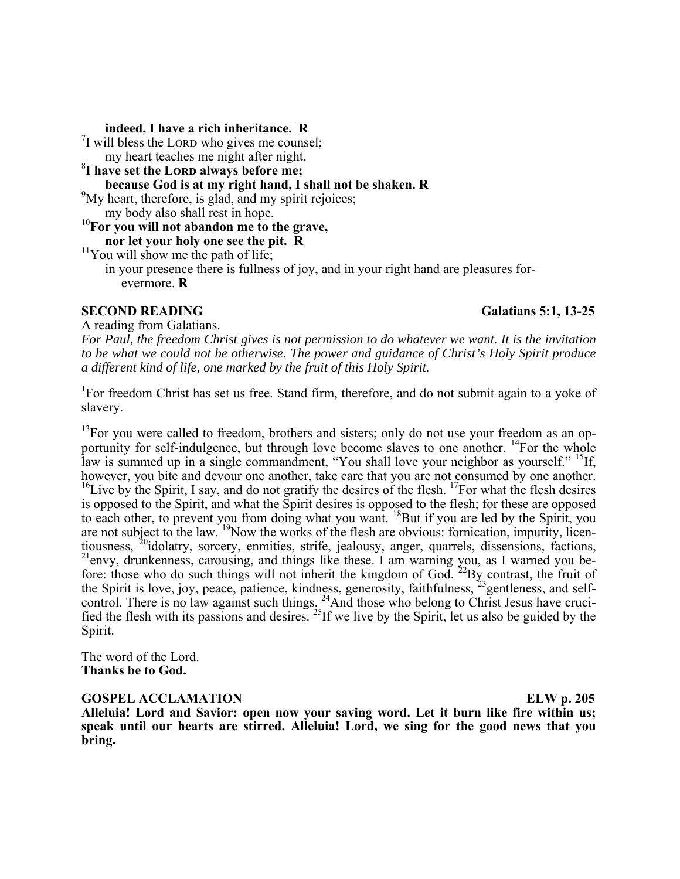**indeed, I have a rich inheritance. R** <sup>7</sup> <sup>7</sup>I will bless the LORD who gives me counsel; my heart teaches me night after night. <sup>8</sup>I have set the LORD always before me; **because God is at my right hand, I shall not be shaken. R** <sup>9</sup>  $\mu$ <sup>9</sup>My heart, therefore, is glad, and my spirit rejoices; my body also shall rest in hope. <sup>10</sup>**For you will not abandon me to the grave, nor let your holy one see the pit. R** <sup>11</sup>You will show me the path of life; in your presence there is fullness of joy, and in your right hand are pleasures for evermore. **R**

## **SECOND READING** Galatians 5:1, 13-25

A reading from Galatians.

*For Paul, the freedom Christ gives is not permission to do whatever we want. It is the invitation to be what we could not be otherwise. The power and guidance of Christ's Holy Spirit produce a different kind of life, one marked by the fruit of this Holy Spirit.* 

<sup>1</sup>For freedom Christ has set us free. Stand firm, therefore, and do not submit again to a yoke of slavery.

 $13$ For you were called to freedom, brothers and sisters; only do not use your freedom as an opportunity for self-indulgence, but through love become slaves to one another. <sup>14</sup>For the whole law is summed up in a single commandment, "You shall love your neighbor as yourself." <sup>15</sup>If, however, you bite and devour one another, take care that you are not consumed by one another.  $^{16}$ Live by the Spirit, I say, and do not gratify the desires of the flesh.  $^{17}$ For what the flesh desires is opposed to the Spirit, and what the Spirit desires is opposed to the flesh; for these are opposed to each other, to prevent you from doing what you want. <sup>18</sup>But if you are led by the Spirit, you are not subject to the law. <sup>19</sup>Now the works of the flesh are obvious: fornication, impurity, licentiousness,  $2^{0}$ idolatry, sorcery, enmities, strife, jealousy, anger, quarrels, dissensions, factions,  $t^{21}$ envy, drunkenness, carousing, and things like these. I am warning you, as I warned you before: those who do such things will not inherit the kingdom of God.  $^{22}$ By contrast, the fruit of the Spirit is love, joy, peace, patience, kindness, generosity, faithfulness, <sup>23</sup> gentleness, and selfcontrol. There is no law against such things.  $24$ And those who belong to Christ Jesus have crucified the flesh with its passions and desires. 25If we live by the Spirit, let us also be guided by the Spirit.

The word of the Lord. **Thanks be to God.**

#### **GOSPEL ACCLAMATION ELW p. 205**

**Alleluia! Lord and Savior: open now your saving word. Let it burn like fire within us; speak until our hearts are stirred. Alleluia! Lord, we sing for the good news that you bring.**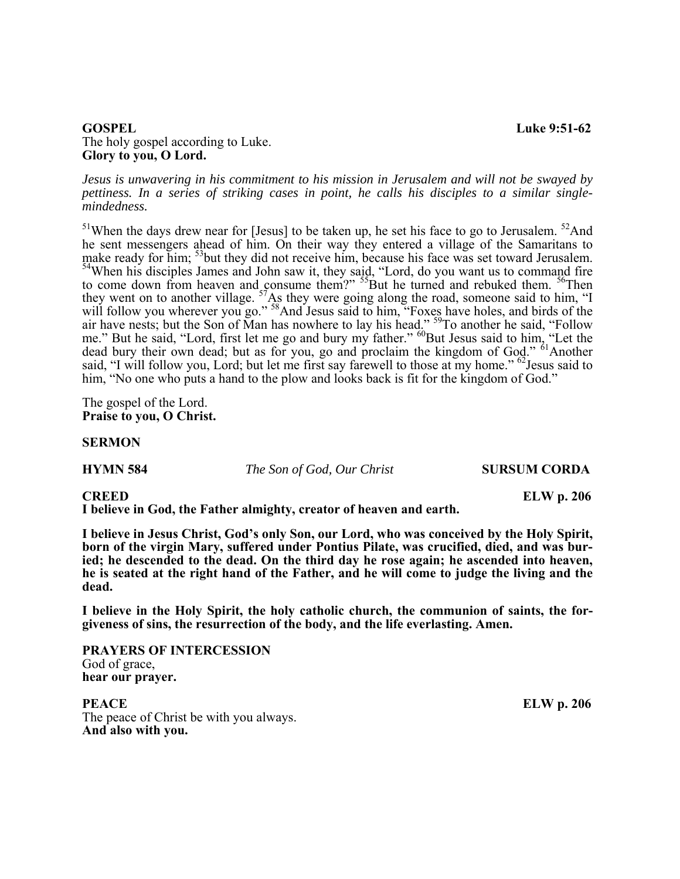#### **GOSPEL** Luke 9:51-62 The holy gospel according to Luke. **Glory to you, O Lord.**

*Jesus is unwavering in his commitment to his mission in Jerusalem and will not be swayed by pettiness. In a series of striking cases in point, he calls his disciples to a similar singlemindedness.* 

 $51$ When the days drew near for [Jesus] to be taken up, he set his face to go to Jerusalem.  $52$ And he sent messengers ahead of him. On their way they entered a village of the Samaritans to make ready for him; <sup>53</sup>but they did not receive him, because his face was set toward Jerusalem. <sup>54</sup>When his disciples James and John saw it, they said, "Lord, do you want us to command fire to come down from heaven and consume them?"  $55B$ ut he turned and rebuked them.  $56T$ hen they went on to another village.  $57\text{As}$  they were going along the road, someone said to him, "I will follow you wherever you go." <sup>58</sup>And Jesus said to him, "Foxes have holes, and birds of the air have nests; but the Son of Man has nowhere to lay his head." <sup>59</sup>To another he said, "Follow me." But he said, "Lord, first let me go and bury my father." <sup>60</sup>But Jesus said to him, "Let the dead bury their own dead; but as for you, go and proclaim the kingdom of God." <sup>61</sup>Another said, "I will follow you, Lord; but let me first say farewell to those at my home." <sup>62</sup>Jesus said to him, "No one who puts a hand to the plow and looks back is fit for the kingdom of God."

The gospel of the Lord. **Praise to you, O Christ.**

#### **SERMON**

**HYMN 584** *The Son of God, Our Christ* **SURSUM CORDA** 

**I believe in God, the Father almighty, creator of heaven and earth.** 

**I believe in Jesus Christ, God's only Son, our Lord, who was conceived by the Holy Spirit, born of the virgin Mary, suffered under Pontius Pilate, was crucified, died, and was buried; he descended to the dead. On the third day he rose again; he ascended into heaven, he is seated at the right hand of the Father, and he will come to judge the living and the dead.**

**I believe in the Holy Spirit, the holy catholic church, the communion of saints, the forgiveness of sins, the resurrection of the body, and the life everlasting. Amen.**

**PRAYERS OF INTERCESSION**  God of grace, **hear our prayer.**

**PEACE** ELW p. 206 The peace of Christ be with you always. **And also with you.**

**CREED ELW p. 206**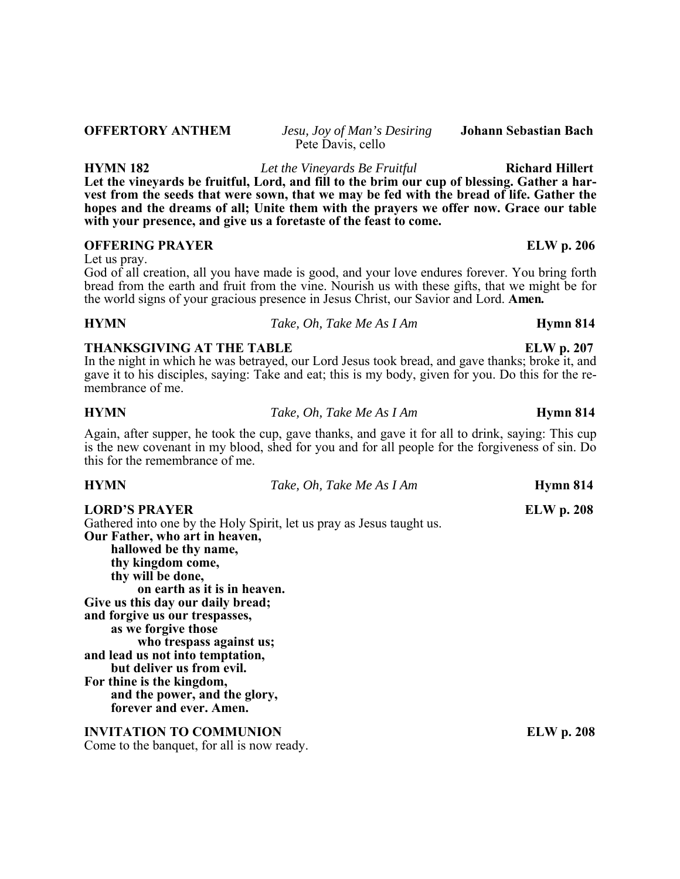| membrance of me.                                                                                                                                                                                                                                                        | In the night in which he was betrayed, our Lord Jesus took bread, and gave thanks; broke it, and<br>gave it to his disciples, saying: Take and eat; this is my body, given for you. Do this for the re- |                   |
|-------------------------------------------------------------------------------------------------------------------------------------------------------------------------------------------------------------------------------------------------------------------------|---------------------------------------------------------------------------------------------------------------------------------------------------------------------------------------------------------|-------------------|
| <b>HYMN</b>                                                                                                                                                                                                                                                             | Take, Oh, Take Me As I Am                                                                                                                                                                               | Hymn 814          |
| this for the remembrance of me.                                                                                                                                                                                                                                         | Again, after supper, he took the cup, gave thanks, and gave it for all to drink, saying: This cup<br>is the new covenant in my blood, shed for you and for all people for the forgiveness of sin. Do    |                   |
| <b>HYMN</b>                                                                                                                                                                                                                                                             | Take, Oh, Take Me As I Am                                                                                                                                                                               | Hymn 814          |
| <b>LORD'S PRAYER</b><br>Gathered into one by the Holy Spirit, let us pray as Jesus taught us.<br>Our Father, who art in heaven,<br>hallowed be thy name,<br>thy kingdom come,<br>thy will be done,<br>on earth as it is in heaven.<br>Give us this day our daily bread; |                                                                                                                                                                                                         | <b>ELW</b> p. 208 |

**HYMN 182** *Let the Vineyards Be Fruitful* **Richard Hillert Let the vineyards be fruitful, Lord, and fill to the brim our cup of blessing. Gather a harvest from the seeds that were sown, that we may be fed with the bread of life. Gather the hopes and the dreams of all; Unite them with the prayers we offer now. Grace our table with your presence, and give us a foretaste of the feast to come.**

## **OFFERING PRAYER ELW p. 206**

Let us pray.

God of all creation, all you have made is good, and your love endures forever. You bring forth bread from the earth and fruit from the vine. Nourish us with these gifts, that we might be for the world signs of your gracious presence in Jesus Christ, our Savior and Lord. **Amen.**

**HYMN** *Take, Oh, Take Me As I Am* **Hymn 814**

# **THANKSGIVING AT THE TABLE ELW p. 207**

**forever and ever. Amen. INVITATION TO COMMUNION** ELW p. 208

**and the power, and the glory,**

**who trespass against us;**

**and forgive us our trespasses, as we forgive those**

**and lead us not into temptation, but deliver us from evil.**

**For thine is the kingdom,**

Come to the banquet, for all is now ready.

Pete Davis, cello

**OFFERTORY ANTHEM** *Jesu, Joy of Man's Desiring* **Johann Sebastian Bach**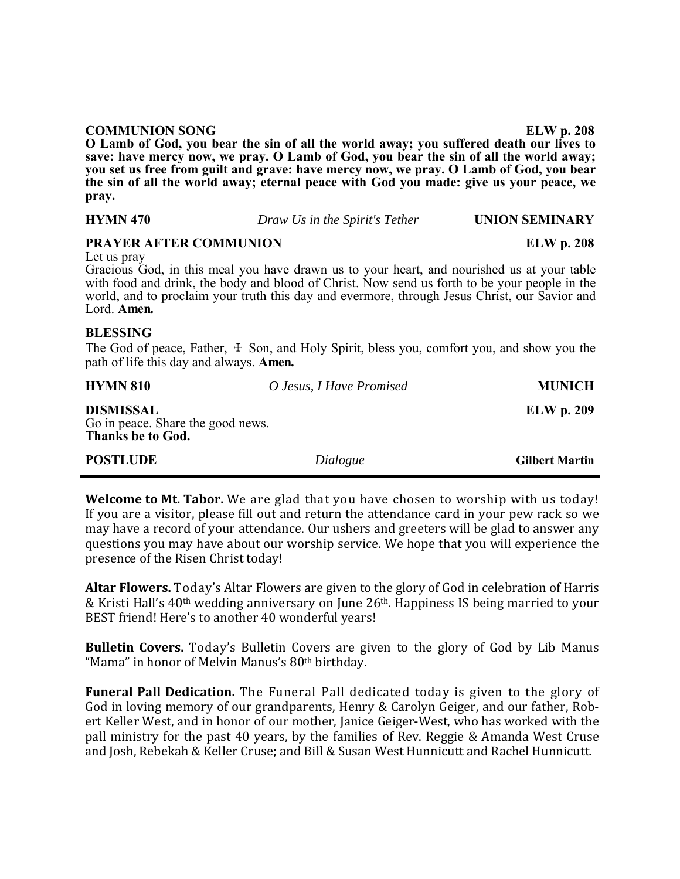| <b>COMMUNION SONG</b>                                                                  | <b>ELW</b> p. 208 |
|----------------------------------------------------------------------------------------|-------------------|
| O Lamb of God, you bear the sin of all the world away; you suffered death our lives to |                   |
| save: have mercy now, we pray. O Lamb of God, you bear the sin of all the world away;  |                   |
| you set us free from guilt and grave: have mercy now, we pray. O Lamb of God, you bear |                   |
| the sin of all the world away; eternal peace with God you made: give us your peace, we |                   |
| pray.                                                                                  |                   |

**HYMN 470** *Draw Us in the Spirit's Tether* **UNION SEMINARY** 

| <b>PRAYER AFTER COMMUNION</b>                                                                                                                                                                                                                                                                                           |                          | <b>ELW</b> p. 208 |
|-------------------------------------------------------------------------------------------------------------------------------------------------------------------------------------------------------------------------------------------------------------------------------------------------------------------------|--------------------------|-------------------|
| Let us pray<br>Gracious God, in this meal you have drawn us to your heart, and nourished us at your table<br>with food and drink, the body and blood of Christ. Now send us forth to be your people in the world, and to proclaim your truth this day and evermore, through Jesus Christ, our Savior and<br>Lord. Amen. |                          |                   |
| <b>BLESSING</b><br>The God of peace, Father, $\pm$ Son, and Holy Spirit, bless you, comfort you, and show you the<br>path of life this day and always. Amen.                                                                                                                                                            |                          |                   |
| <b>HYMN 810</b>                                                                                                                                                                                                                                                                                                         | O Jesus, I Have Promised | <b>MUNICH</b>     |
| <b>DISMISSAL</b>                                                                                                                                                                                                                                                                                                        |                          | <b>ELW</b> p. 209 |

Go in peace. Share the good news. **Thanks be to God.**

| <b>POSTLUDE</b><br>Dialogue | <b>Gilbert Martin</b> |
|-----------------------------|-----------------------|
|-----------------------------|-----------------------|

**Welcome to Mt. Tabor.** We are glad that you have chosen to worship with us today! If you are a visitor, please fill out and return the attendance card in your pew rack so we may have a record of your attendance. Our ushers and greeters will be glad to answer any questions you may have about our worship service. We hope that you will experience the presence of the Risen Christ today!

**Altar Flowers.** Today's Altar Flowers are given to the glory of God in celebration of Harris & Kristi Hall's 40th wedding anniversary on June 26th. Happiness IS being married to your BEST friend! Here's to another 40 wonderful years!

**Bulletin Covers.** Today's Bulletin Covers are given to the glory of God by Lib Manus "Mama" in honor of Melvin Manus's 80th birthday.

**Funeral Pall Dedication.** The Funeral Pall dedicated today is given to the glory of God in loving memory of our grandparents, Henry & Carolyn Geiger, and our father, Robert Keller West, and in honor of our mother, Janice Geiger-West, who has worked with the pall ministry for the past 40 years, by the families of Rev. Reggie & Amanda West Cruse and Josh, Rebekah & Keller Cruse; and Bill & Susan West Hunnicutt and Rachel Hunnicutt.